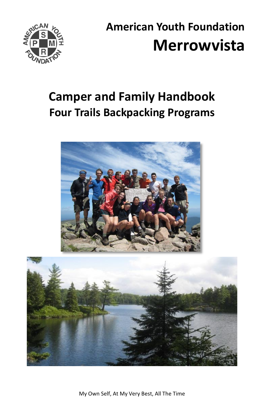

# **American Youth Foundation Merrowvista**

## **Camper and Family Handbook Four Trails Backpacking Programs**





My Own Self, At My Very Best, All The Time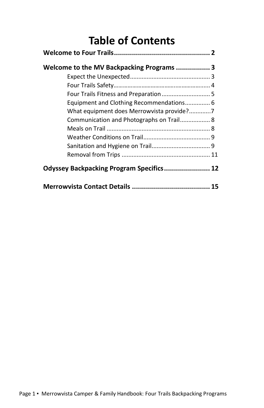## **Table of Contents**

| Welcome to the MV Backpacking Programs  3 |  |
|-------------------------------------------|--|
|                                           |  |
|                                           |  |
|                                           |  |
| Equipment and Clothing Recommendations 6  |  |
|                                           |  |
| Communication and Photographs on Trail 8  |  |
|                                           |  |
|                                           |  |
|                                           |  |
|                                           |  |
| Odyssey Backpacking Program Specifics 12  |  |
|                                           |  |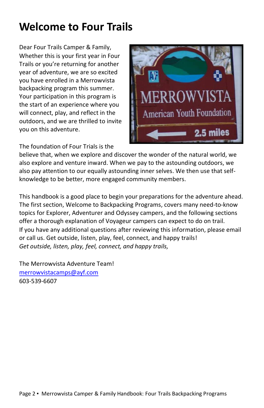## **Welcome to Four Trails**

Dear Four Trails Camper & Family, Whether this is your first year in Four Trails or you're returning for another year of adventure, we are so excited you have enrolled in a Merrowvista backpacking program this summer. Your participation in this program is the start of an experience where you will connect, play, and reflect in the outdoors, and we are thrilled to invite you on this adventure.



The foundation of Four Trials is the

believe that, when we explore and discover the wonder of the natural world, we also explore and venture inward. When we pay to the astounding outdoors, we also pay attention to our equally astounding inner selves. We then use that selfknowledge to be better, more engaged community members.

This handbook is a good place to begin your preparations for the adventure ahead. The first section, Welcome to Backpacking Programs, covers many need-to-know topics for Explorer, Adventurer and Odyssey campers, and the following sections offer a thorough explanation of Voyageur campers can expect to do on trail. If you have any additional questions after reviewing this information, please email or call us. Get outside, listen, play, feel, connect, and happy trails! *Get outside, listen, play, feel, connect, and happy trails,*

The Merrowvista Adventure Team! [merrowvistacamps@ayf.com](mailto:merrowvistacamps@ayf.com) 603-539-6607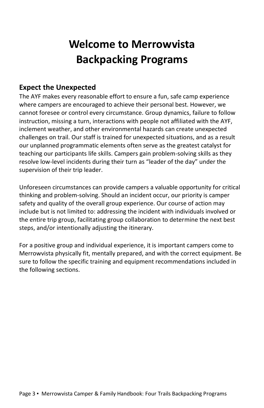## **Welcome to Merrowvista Backpacking Programs**

#### **Expect the Unexpected**

The AYF makes every reasonable effort to ensure a fun, safe camp experience where campers are encouraged to achieve their personal best. However, we cannot foresee or control every circumstance. Group dynamics, failure to follow instruction, missing a turn, interactions with people not affiliated with the AYF, inclement weather, and other environmental hazards can create unexpected challenges on trail. Our staff is trained for unexpected situations, and as a result our unplanned programmatic elements often serve as the greatest catalyst for teaching our participants life skills. Campers gain problem-solving skills as they resolve low-level incidents during their turn as "leader of the day" under the supervision of their trip leader.

Unforeseen circumstances can provide campers a valuable opportunity for critical thinking and problem-solving. Should an incident occur, our priority is camper safety and quality of the overall group experience. Our course of action may include but is not limited to: addressing the incident with individuals involved or the entire trip group, facilitating group collaboration to determine the next best steps, and/or intentionally adjusting the itinerary.

For a positive group and individual experience, it is important campers come to Merrowvista physically fit, mentally prepared, and with the correct equipment. Be sure to follow the specific training and equipment recommendations included in the following sections.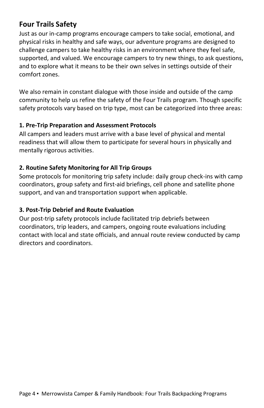#### **Four Trails Safety**

Just as our in-camp programs encourage campers to take social, emotional, and physical risks in healthy and safe ways, our adventure programs are designed to challenge campers to take healthy risks in an environment where they feel safe, supported, and valued. We encourage campers to try new things, to ask questions, and to explore what it means to be their own selves in settings outside of their comfort zones.

We also remain in constant dialogue with those inside and outside of the camp community to help us refine the safety of the Four Trails program. Though specific safety protocols vary based on trip type, most can be categorized into three areas:

#### **1. Pre-Trip Preparation and Assessment Protocols**

All campers and leaders must arrive with a base level of physical and mental readiness that will allow them to participate for several hours in physically and mentally rigorous activities.

#### **2. Routine Safety Monitoring for All Trip Groups**

Some protocols for monitoring trip safety include: daily group check-ins with camp coordinators, group safety and first-aid briefings, cell phone and satellite phone support, and van and transportation support when applicable.

#### **3. Post-Trip Debrief and Route Evaluation**

Our post-trip safety protocols include facilitated trip debriefs between coordinators, trip leaders, and campers, ongoing route evaluations including contact with local and state officials, and annual route review conducted by camp directors and coordinators.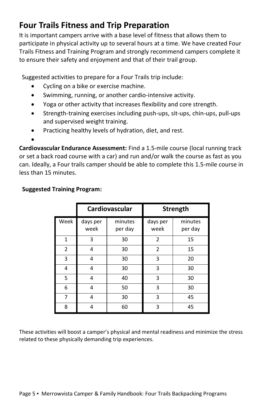## **Four Trails Fitness and Trip Preparation**

It is important campers arrive with a base level of fitness that allows them to participate in physical activity up to several hours at a time. We have created Four Trails Fitness and Training Program and strongly recommend campers complete it to ensure their safety and enjoyment and that of their trail group.

Suggested activities to prepare for a Four Trails trip include:

- Cycling on a bike or exercise machine.
- Swimming, running, or another cardio-intensive activity.
- Yoga or other activity that increases flexibility and core strength.
- Strength-training exercises including push-ups, sit-ups, chin-ups, pull-ups and supervised weight training.
- Practicing healthy levels of hydration, diet, and rest.

•

**Cardiovascular Endurance Assessment:** Find a 1.5-mile course (local running track or set a back road course with a car) and run and/or walk the course as fast as you can. Ideally, a Four trails camper should be able to complete this 1.5-mile course in less than 15 minutes.

|                | Cardiovascular   |                    | Strength         |                    |
|----------------|------------------|--------------------|------------------|--------------------|
| Week           | days per<br>week | minutes<br>per day | days per<br>week | minutes<br>per day |
| $\mathbf{1}$   | 3                | 30                 | $\overline{2}$   | 15                 |
| $\overline{2}$ | 4                | 30                 | 2                | 15                 |
| 3              | 4                | 30                 | 3                | 20                 |
| 4              | 4                | 30                 | 3                | 30                 |
| 5              | 4                | 40                 | 3                | 30                 |
| 6              | 4                | 50                 | 3                | 30                 |
| 7              | 4                | 30                 | 3                | 45                 |
| 8              | 4                | 60                 | 3                | 45                 |

#### **Suggested Training Program:**

These activities will boost a camper's physical and mental readiness and minimize the stress related to these physically demanding trip experiences.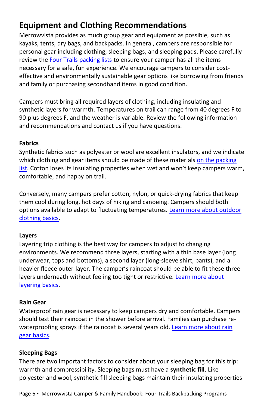## **Equipment and Clothing Recommendations**

Merrowvista provides as much group gear and equipment as possible, such as kayaks, tents, dry bags, and backpacks. In general, campers are responsible for personal gear including clothing, sleeping bags, and sleeping pads. Please carefully review th[e Four Trails packing lists](https://ayf.com/merrowvista-2022-family-resources/) to ensure your camper has all the items necessary for a safe, fun experience. We encourage campers to consider costeffective and environmentally sustainable gear options like borrowing from friends and family or purchasing secondhand items in good condition.

Campers must bring all required layers of clothing, including insulating and synthetic layers for warmth. Temperatures on trail can range from 40 degrees F to 90-plus degrees F, and the weather is variable. Review the following information and recommendations and contact us if you have questions.

#### **Fabrics**

Synthetic fabrics such as polyester or wool are excellent insulators, and we indicate which clothing and gear items should be made of these materials on the packing [list](https://ayf.com/merrowvista-2022-family-resources/). Cotton loses its insulating properties when wet and won't keep campers warm, comfortable, and happy on trail.

Conversely, many campers prefer cotton, nylon, or quick-drying fabrics that keep them cool during long, hot days of hiking and canoeing. Campers should both options available to adapt to fluctuating temperatures. [Learn more about outdoor](https://www.rei.com/learn/expert-advice/how-to-choose-hiking-clothes.html)  [clothing basics.](https://www.rei.com/learn/expert-advice/how-to-choose-hiking-clothes.html)

#### **Layers**

Layering trip clothing is the best way for campers to adjust to changing environments. We recommend three layers, starting with a thin base layer (long underwear, tops and bottoms), a second layer (long-sleeve shirt, pants), and a heavier fleece outer-layer. The camper's raincoat should be able to fit these three layers underneath without feeling too tight or restrictive. Learn more about [layering basics.](https://www.rei.com/learn/expert-advice/layering-basics.html)

#### **Rain Gear**

Waterproof rain gear is necessary to keep campers dry and comfortable. Campers should test their raincoat in the shower before arrival. Families can purchase rewaterproofing sprays if the raincoat is several years old. Learn more about rain [gear basics.](https://www.rei.com/learn/expert-advice/rainwear.html)

#### **Sleeping Bags**

There are two important factors to consider about your sleeping bag for this trip: warmth and compressibility. Sleeping bags must have a **synthetic fill**. Like polyester and wool, synthetic fill sleeping bags maintain their insulating properties

Page 6 ▪ Merrowvista Camper & Family Handbook: Four Trails Backpacking Programs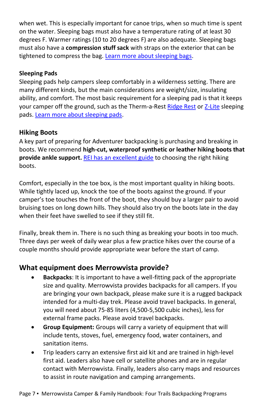when wet. This is especially important for canoe trips, when so much time is spent on the water. Sleeping bags must also have a temperature rating of at least 30 degrees F. Warmer ratings (10 to 20 degrees F) are also adequate. Sleeping bags must also have a **compression stuff sack** with straps on the exterior that can be tightened to compress the bag. [Learn more about sleeping bags.](https://www.rei.com/learn/expert-advice/sleeping-bag.html)

#### **Sleeping Pads**

Sleeping pads help campers sleep comfortably in a wilderness setting. There are many different kinds, but the main considerations are weight/size, insulating ability, and comfort. The most basic requirement for a sleeping pad is that it keeps your camper off the ground, such as the Therm-a-Rest [Ridge Rest](https://www.thermarest.com/sleeping-pads/trek-and-travel/ridgerest-classic-sleeping-pad/ridgerest-classic.html) or [Z-Lite](https://www.thermarest.com/sleeping-pads/fast-and-light/z-lite-sol-sleeping-pad/z-lite-sol.html) sleeping pads. [Learn more about sleeping pads.](https://www.rei.com/learn/expert-advice/sleeping-pads.html)

#### **Hiking Boots**

A key part of preparing for Adventurer backpacking is purchasing and breaking in boots. We recommend **high-cut, waterproof synthetic or leather hiking boots that provide ankle support.** [REI has an excellent guide](https://www.rei.com/learn/expert-advice/hiking-boots.html) to choosing the right hiking boots.

Comfort, especially in the toe box, is the most important quality in hiking boots. While tightly laced up, knock the toe of the boots against the ground. If your camper's toe touches the front of the boot, they should buy a larger pair to avoid bruising toes on long down hills. They should also try on the boots late in the day when their feet have swelled to see if they still fit.

Finally, break them in. There is no such thing as breaking your boots in too much. Three days per week of daily wear plus a few practice hikes over the course of a couple months should provide appropriate wear before the start of camp.

#### **What equipment does Merrowvista provide?**

- **Backpacks**: It is important to have a well-fitting pack of the appropriate size and quality. Merrowvista provides backpacks for all campers. If you are bringing your own backpack, please make sure it is a rugged backpack intended for a multi-day trek. Please avoid travel backpacks. In general, you will need about 75-85 liters (4,500-5,500 cubic inches), less for external frame packs. Please avoid travel backpacks.
- **Group Equipment:** Groups will carry a variety of equipment that will include tents, stoves, fuel, emergency food, water containers, and sanitation items.
- Trip leaders carry an extensive first aid kit and are trained in high-level first aid. Leaders also have cell or satellite phones and are in regular contact with Merrowvista. Finally, leaders also carry maps and resources to assist in route navigation and camping arrangements.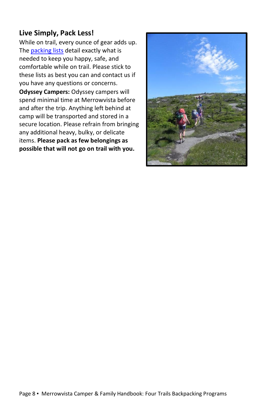#### **Live Simply, Pack Less!**

While on trail, every ounce of gear adds up. The **packing lists detail exactly what is** needed to keep you happy, safe, and comfortable while on trail. Please stick to these lists as best you can and contact us if you have any questions or concerns.

**Odyssey Campers:** Odyssey campers will spend minimal time at Merrowvista before and after the trip. Anything left behind at camp will be transported and stored in a secure location. Please refrain from bringing any additional heavy, bulky, or delicate items. **Please pack as few belongings as possible that will not go on trail with you.**

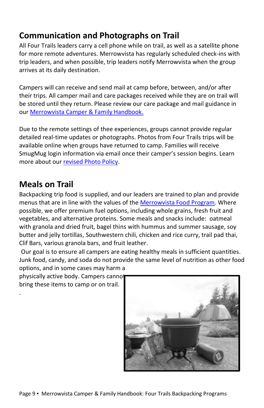## **Communication and Photographs on Trail**

All Four Trails leaders carry a cell phone while on trail, as well as a satellite phone for more remote adventures. Merrowvista has regularly scheduled check-ins with trip leaders, and when possible, trip leaders notify Merrowvista when the group arrives at its daily destination.

Campers will can receive and send mail at camp before, between, and/or after their trips. All camper mail and care packages received while they are on trail will be stored until they return. Please review our care package and mail guidance in our Merrowvista [Camper & Family Handbook.](https://ayf.com/wp-content/uploads/2022/03/2022-Miniwanca-Handbook.pdf)

Due to the remote settings of thee experiences, groups cannot provide regular detailed real-time updates or photographs. Photos from Four Trails trips will be available online when groups have returned to camp. Families will receive SmugMug login information via email once their camper's session begins. Learn more about our [revised Photo Policy.](https://ayf.com/ayf-onsite-photo-policy/) 

### **Meals on Trail**

.

Backpacking trip food is supplied, and our leaders are trained to plan and provide menus that are in line with the values of the [Merrowvista Food Program.](https://ayf.com/who-we-are/mission-philosophy/#:~:text=SUSTAINABILITY%20GUIDING%20PRINCIPLES-,FOOD%20PROGRAM%20GUIDING%20PRINCIPLES,-We%20strive%20to) Where possible, we offer premium fuel options, including whole grains, fresh fruit and vegetables, and alternative proteins. Some meals and snacks include: oatmeal with granola and dried fruit, bagel thins with hummus and summer sausage, soy butter and jelly tortillas, Southwestern chili, chicken and rice curry, trail pad thai, Clif Bars, various granola bars, and fruit leather.

Our goal is to ensure all campers are eating healthy meals in sufficient quantities. Junk food, candy, and soda do not provide the same level of nutrition as other food options, and in some cases may harm a

physically active body. Campers cannot bring these items to camp or on trail.

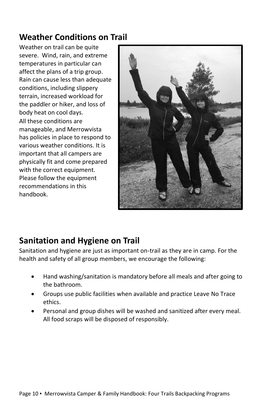### **Weather Conditions on Trail**

Weather on trail can be quite severe. Wind, rain, and extreme temperatures in particular can affect the plans of a trip group. Rain can cause less than adequate conditions, including slippery terrain, increased workload for the paddler or hiker, and loss of body heat on cool days. All these conditions are manageable, and Merrowvista has policies in place to respond to various weather conditions. It is important that all campers are physically fit and come prepared with the correct equipment. Please follow the equipment recommendations in this handbook.



### **Sanitation and Hygiene on Trail**

Sanitation and hygiene are just as important on-trail as they are in camp. For the health and safety of all group members, we encourage the following:

- Hand washing/sanitation is mandatory before all meals and after going to the bathroom.
- Groups use public facilities when available and practice Leave No Trace ethics.
- Personal and group dishes will be washed and sanitized after every meal. All food scraps will be disposed of responsibly.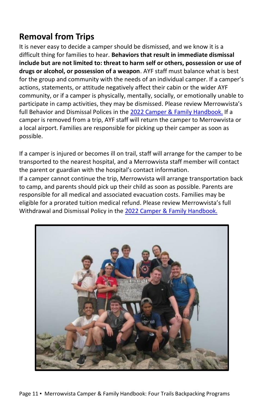## **Removal from Trips**

It is never easy to decide a camper should be dismissed, and we know it is a difficult thing for families to hear. **Behaviors that result in immediate dismissal include but are not limited to: threat to harm self or others, possession or use of drugs or alcohol, or possession of a weapon**. AYF staff must balance what is best for the group and community with the needs of an individual camper. If a camper's actions, statements, or attitude negatively affect their cabin or the wider AYF community, or if a camper is physically, mentally, socially, or emotionally unable to participate in camp activities, they may be dismissed. Please review Merrowvista's full Behavior and Dismissal Polices in th[e 2022 Camper & Family Handbook.](https://ayf.com/wp-content/uploads/2022/03/2022-Miniwanca-Handbook.pdf) If a camper is removed from a trip, AYF staff will return the camper to Merrowvista or a local airport. Families are responsible for picking up their camper as soon as possible.

If a camper is injured or becomes ill on trail, staff will arrange for the camper to be transported to the nearest hospital, and a Merrowvista staff member will contact the parent or guardian with the hospital's contact information.

If a camper cannot continue the trip, Merrowvista will arrange transportation back to camp, and parents should pick up their child as soon as possible. Parents are responsible for all medical and associated evacuation costs. Families may be eligible for a prorated tuition medical refund. Please review Merrowvista's full Withdrawal and Dismissal Policy in th[e 2022 Camper & Family Handbook.](https://ayf.com/wp-content/uploads/2022/03/2022-Miniwanca-Handbook.pdf)

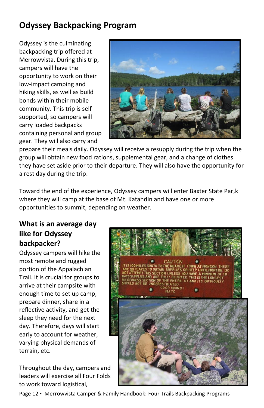## **Odyssey Backpacking Program**

Odyssey is the culminating backpacking trip offered at Merrowvista. During this trip, campers will have the opportunity to work on their low-impact camping and hiking skills, as well as build bonds within their mobile community. This trip is selfsupported, so campers will carry loaded backpacks containing personal and group gear. They will also carry and



prepare their meals daily. Odyssey will receive a resupply during the trip when the group will obtain new food rations, supplemental gear, and a change of clothes they have set aside prior to their departure. They will also have the opportunity for a rest day during the trip.

Toward the end of the experience, Odyssey campers will enter Baxter State Par,k where they will camp at the base of Mt. Katahdin and have one or more opportunities to summit, depending on weather.

#### **What is an average day like for Odyssey backpacker?**

Odyssey campers will hike the most remote and rugged portion of the Appalachian Trail. It is crucial for groups to arrive at their campsite with enough time to set up camp, prepare dinner, share in a reflective activity, and get the sleep they need for the next day. Therefore, days will start early to account for weather, varying physical demands of terrain, etc.

Throughout the day, campers and leaders will exercise all Four Folds to work toward logistical,



Page 12 ▪ Merrowvista Camper & Family Handbook: Four Trails Backpacking Programs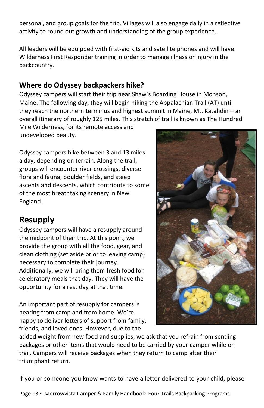personal, and group goals for the trip. Villages will also engage daily in a reflective activity to round out growth and understanding of the group experience.

All leaders will be equipped with first-aid kits and satellite phones and will have Wilderness First Responder training in order to manage illness or injury in the backcountry.

#### **Where do Odyssey backpackers hike?**

Odyssey campers will start their trip near Shaw's Boarding House in Monson, Maine. The following day, they will begin hiking the Appalachian Trail (AT) until they reach the northern terminus and highest summit in Maine, Mt. Katahdin – an overall itinerary of roughly 125 miles. This stretch of trail is known as The Hundred

Mile Wilderness, for its remote access and undeveloped beauty.

Odyssey campers hike between 3 and 13 miles a day, depending on terrain. Along the trail, groups will encounter river crossings, diverse flora and fauna, boulder fields, and steep ascents and descents, which contribute to some of the most breathtaking scenery in New England.

## **Resupply**

Odyssey campers will have a resupply around the midpoint of their trip. At this point, we provide the group with all the food, gear, and clean clothing (set aside prior to leaving camp) necessary to complete their journey. Additionally, we will bring them fresh food for celebratory meals that day. They will have the opportunity for a rest day at that time.

An important part of resupply for campers is hearing from camp and from home. We're happy to deliver letters of support from family, friends, and loved ones. However, due to the



added weight from new food and supplies, we ask that you refrain from sending packages or other items that would need to be carried by your camper while on trail. Campers will receive packages when they return to camp after their triumphant return.

If you or someone you know wants to have a letter delivered to your child, please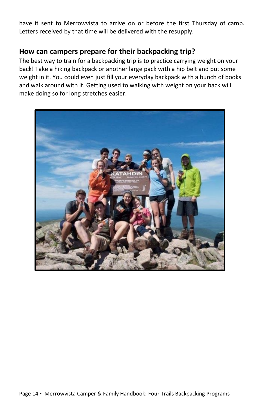have it sent to Merrowvista to arrive on or before the first Thursday of camp. Letters received by that time will be delivered with the resupply.

#### **How can campers prepare for their backpacking trip?**

The best way to train for a backpacking trip is to practice carrying weight on your back! Take a hiking backpack or another large pack with a hip belt and put some weight in it. You could even just fill your everyday backpack with a bunch of books and walk around with it. Getting used to walking with weight on your back will make doing so for long stretches easier.